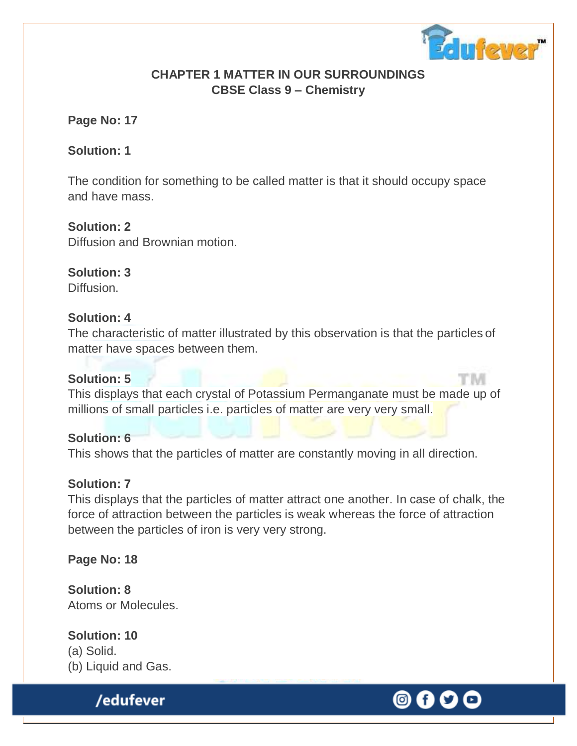

t im

# **CHAPTER 1 MATTER IN OUR SURROUNDINGS CBSE Class 9 – Chemistry**

# **Page No: 17**

### **Solution: 1**

The condition for something to be called matter is that it should occupy space and have mass.

# **Solution: 2**

Diffusion and Brownian motion.

**Solution: 3** Diffusion.

### **Solution: 4**

The characteristic of matter illustrated by this observation is that the particles of matter have spaces between them.

### **Solution: 5**

This displays that each crystal of Potassium Permanganate must be made up of millions of small particles i.e. particles of matter are very very small.

### **Solution: 6**

This shows that the particles of matter are constantly moving in all direction.

# **Solution: 7**

This displays that the particles of matter attract one another. In case of chalk, the force of attraction between the particles is weak whereas the force of attraction between the particles of iron is very very strong.

# **Page No: 18**

**Solution: 8** Atoms or Molecules.

# **Solution: 10**

(a) Solid. (b) Liquid and Gas.

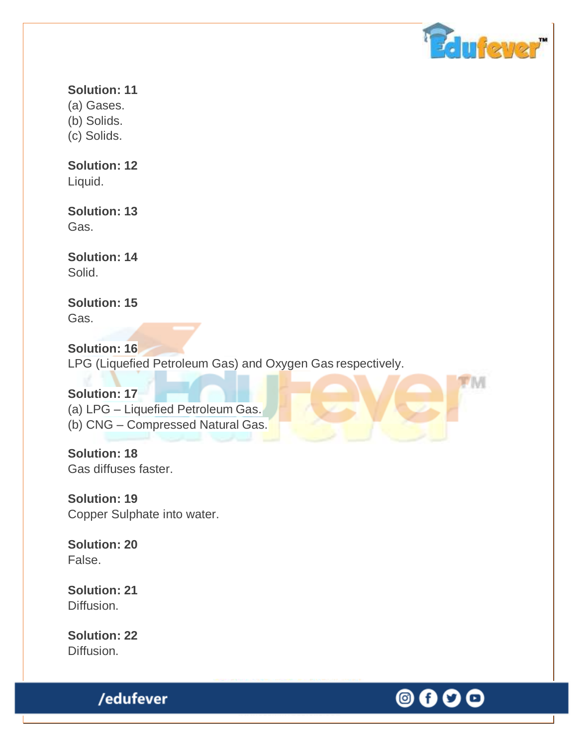

M

# **Solution: 11**

(a) Gases.

(b) Solids.

(c) Solids.

# **Solution: 12**

Liquid.

### **Solution: 13** Gas.

**Solution: 14** Solid.

# **Solution: 15** Gas.

**Solution: 16** LPG (Liquefied Petroleum Gas) and Oxygen Gas respectively.

**Solution: 17** (a) LPG – Liquefied Petroleum Gas. (b) CNG – Compressed Natural Gas.

**Solution: 18** Gas diffuses faster.

**Solution: 19** Copper Sulphate into water.

**Solution: 20** False.

**Solution: 21** Diffusion.

**Solution: 22** Diffusion.

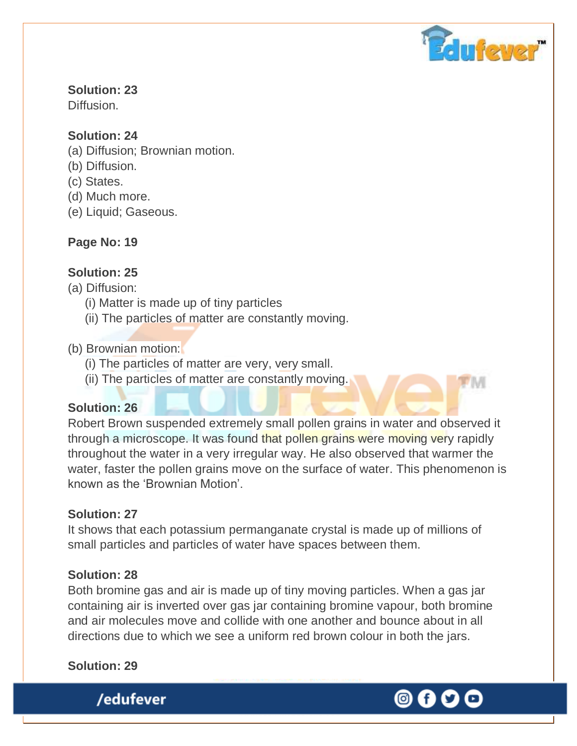

**Solution: 23** Diffusion.

# **Solution: 24**

- (a) Diffusion; Brownian motion.
- (b) Diffusion.
- (c) States.
- (d) Much more.
- (e) Liquid; Gaseous.

# **Page No: 19**

# **Solution: 25**

(a) Diffusion:

- (i) Matter is made up of tiny particles
- (ii) The particles of matter are constantly moving.

# (b) Brownian motion:

- (i) The particles of matter are very, very small.
- (ii) The particles of matter are constantly moving.

# **Solution: 26**

Robert Brown suspended extremely small pollen grains in water and observed it through a microscope. It was found that pollen grains were moving very rapidly throughout the water in a very irregular way. He also observed that warmer the water, faster the pollen grains move on the surface of water. This phenomenon is known as the 'Brownian Motion'.

# **Solution: 27**

It shows that each potassium permanganate crystal is made up of millions of small particles and particles of water have spaces between them.

# **Solution: 28**

Both bromine gas and air is made up of tiny moving particles. When a gas jar containing air is inverted over gas jar containing bromine vapour, both bromine and air molecules move and collide with one another and bounce about in all directions due to which we see a uniform red brown colour in both the jars.

# **Solution: 29**

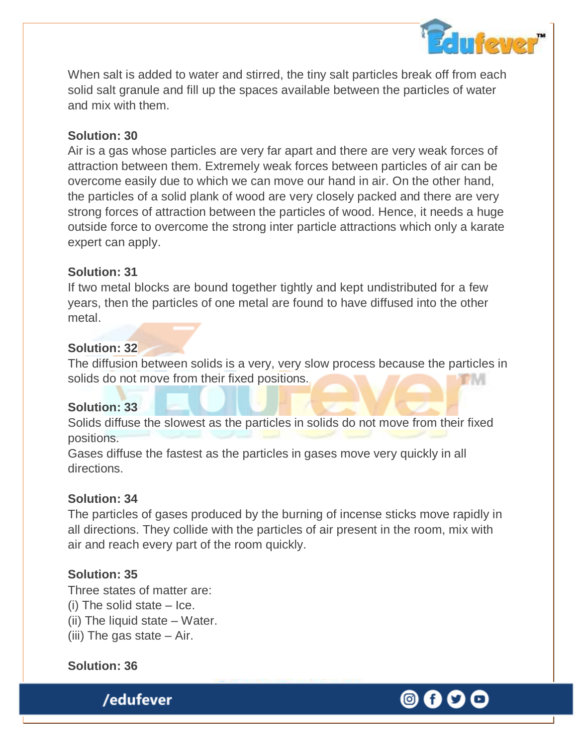

When salt is added to water and stirred, the tiny salt particles break off from each solid salt granule and fill up the spaces available between the particles of water and mix with them.

### **Solution: 30**

Air is a gas whose particles are very far apart and there are very weak forces of attraction between them. Extremely weak forces between particles of air can be overcome easily due to which we can move our hand in air. On the other hand, the particles of a solid plank of wood are very closely packed and there are very strong forces of attraction between the particles of wood. Hence, it needs a huge outside force to overcome the strong inter particle attractions which only a karate expert can apply.

### **Solution: 31**

If two metal blocks are bound together tightly and kept undistributed for a few years, then the particles of one metal are found to have diffused into the other metal.

# **Solution: 32**

The diffusion between solids is a very, very slow process because the particles in solids do not move from their fixed positions. DIM

### **Solution: 33**

Solids diffuse the slowest as the particles in solids do not move from their fixed positions.

Gases diffuse the fastest as the particles in gases move very quickly in all directions.

### **Solution: 34**

The particles of gases produced by the burning of incense sticks move rapidly in all directions. They collide with the particles of air present in the room, mix with air and reach every part of the room quickly.

# **Solution: 35**

Three states of matter are:

- (i) The solid state Ice.
- (ii) The liquid state Water.
- (iii) The gas state Air.

### **Solution: 36**

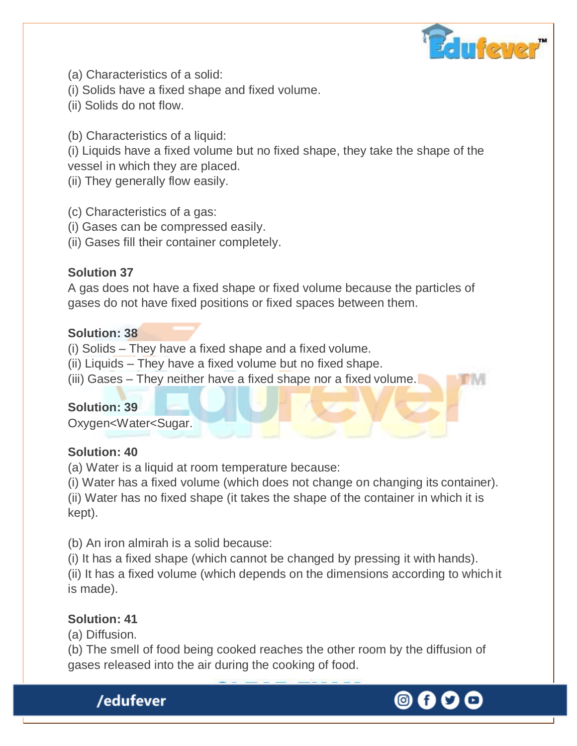

- (a) Characteristics of a solid:
- (i) Solids have a fixed shape and fixed volume.
- (ii) Solids do not flow.
- (b) Characteristics of a liquid:

(i) Liquids have a fixed volume but no fixed shape, they take the shape of the vessel in which they are placed.

- (ii) They generally flow easily.
- (c) Characteristics of a gas:
- (i) Gases can be compressed easily.
- (ii) Gases fill their container completely.

# **Solution 37**

A gas does not have a fixed shape or fixed volume because the particles of gases do not have fixed positions or fixed spaces between them.

### **Solution: 38**

- (i) Solids They have a fixed shape and a fixed volume.
- (ii) Liquids They have a fixed volume but no fixed shape.
- (iii) Gases They neither have a fixed shape nor a fixed volume.

### **Solution: 39**

Oxygen<Water<Sugar.

### **Solution: 40**

(a) Water is a liquid at room temperature because:

(i) Water has a fixed volume (which does not change on changing its container).

(ii) Water has no fixed shape (it takes the shape of the container in which it is kept).

(b) An iron almirah is a solid because:

(i) It has a fixed shape (which cannot be changed by pressing it with hands).

(ii) It has a fixed volume (which depends on the dimensions according to which it is made).

# **Solution: 41**

(a) Diffusion.

(b) The smell of food being cooked reaches the other room by the diffusion of gases released into the air during the cooking of food.



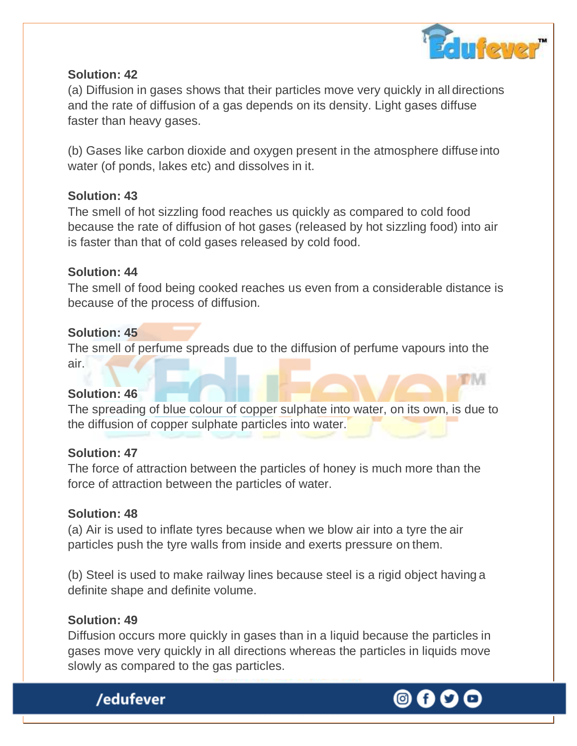

(a) Diffusion in gases shows that their particles move very quickly in all directions and the rate of diffusion of a gas depends on its density. Light gases diffuse faster than heavy gases.

(b) Gases like carbon dioxide and oxygen present in the atmosphere diffuse into water (of ponds, lakes etc) and dissolves in it.

### **Solution: 43**

The smell of hot sizzling food reaches us quickly as compared to cold food because the rate of diffusion of hot gases (released by hot sizzling food) into air is faster than that of cold gases released by cold food.

### **Solution: 44**

The smell of food being cooked reaches us even from a considerable distance is because of the process of diffusion.

### **Solution: 45**

The smell of perfume spreads due to the diffusion of perfume vapours into the air.

### **Solution: 46**

The spreading of blue colour of copper sulphate into water, on its own, is due to the diffusion of copper sulphate particles into water.

### **Solution: 47**

The force of attraction between the particles of honey is much more than the force of attraction between the particles of water.

# **Solution: 48**

(a) Air is used to inflate tyres because when we blow air into a tyre the air particles push the tyre walls from inside and exerts pressure on them.

(b) Steel is used to make railway lines because steel is a rigid object having a definite shape and definite volume.

# **Solution: 49**

/edufever

Diffusion occurs more quickly in gases than in a liquid because the particles in gases move very quickly in all directions whereas the particles in liquids move slowly as compared to the gas particles.

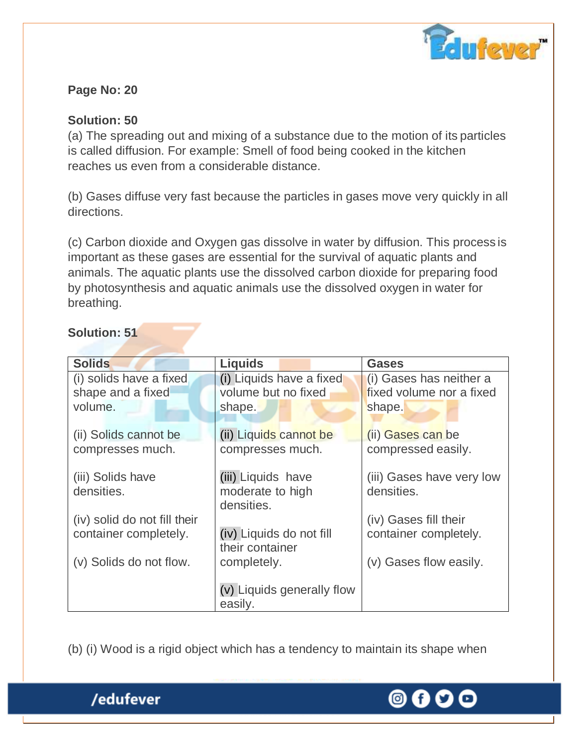

# **Page No: 20**

# **Solution: 50**

(a) The spreading out and mixing of a substance due to the motion of its particles is called diffusion. For example: Smell of food being cooked in the kitchen reaches us even from a considerable distance.

(b) Gases diffuse very fast because the particles in gases move very quickly in all directions.

(c) Carbon dioxide and Oxygen gas dissolve in water by diffusion. This process is important as these gases are essential for the survival of aquatic plants and animals. The aquatic plants use the dissolved carbon dioxide for preparing food by photosynthesis and aquatic animals use the dissolved oxygen in water for breathing.

### **Solution: 51**

| <b>Solids</b>                                           | <b>Liquids</b>                                            | <b>Gases</b>                                                  |
|---------------------------------------------------------|-----------------------------------------------------------|---------------------------------------------------------------|
| (i) solids have a fixed<br>shape and a fixed<br>volume. | (i) Liquids have a fixed<br>volume but no fixed<br>shape. | (i) Gases has neither a<br>fixed volume nor a fixed<br>shape. |
| (ii) Solids cannot be<br>compresses much.               | (ii) Liquids cannot be<br>compresses much.                | (ii) Gases can be<br>compressed easily.                       |
| (iii) Solids have<br>densities.                         | (iii) Liquids have<br>moderate to high<br>densities.      | (iii) Gases have very low<br>densities.                       |
| (iv) solid do not fill their<br>container completely.   | (iv) Liquids do not fill<br>their container               | (iv) Gases fill their<br>container completely.                |
| (v) Solids do not flow.                                 | completely.                                               | (v) Gases flow easily.                                        |
|                                                         | (v) Liquids generally flow<br>easily.                     |                                                               |

(b) (i) Wood is a rigid object which has a tendency to maintain its shape when



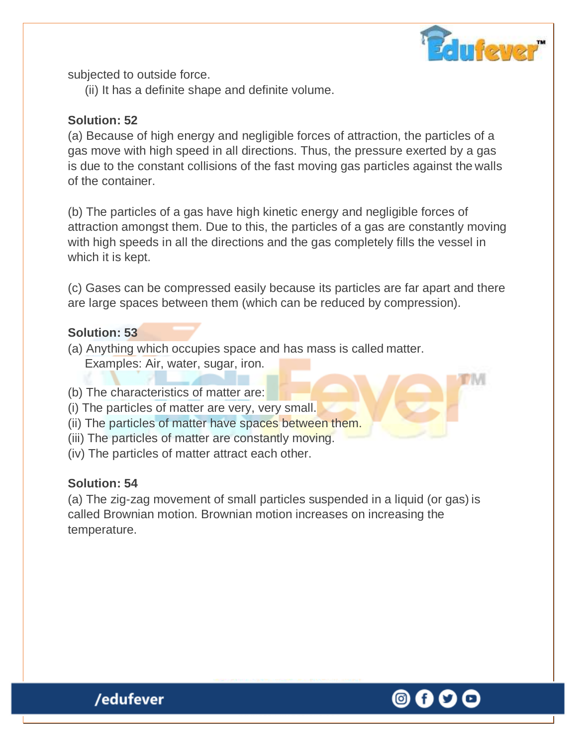

subjected to outside force.

(ii) It has a definite shape and definite volume.

# **Solution: 52**

(a) Because of high energy and negligible forces of attraction, the particles of a gas move with high speed in all directions. Thus, the pressure exerted by a gas is due to the constant collisions of the fast moving gas particles against the walls of the container.

(b) The particles of a gas have high kinetic energy and negligible forces of attraction amongst them. Due to this, the particles of a gas are constantly moving with high speeds in all the directions and the gas completely fills the vessel in which it is kept.

(c) Gases can be compressed easily because its particles are far apart and there are large spaces between them (which can be reduced by compression).

### **Solution: 53**

- (a) Anything which occupies space and has mass is called matter. Examples: Air, water, sugar, iron.
- (b) The characteristics of matter are:
- (i) The particles of matter are very, very small.
- (ii) The particles of matter have spaces between them.
- (iii) The particles of matter are constantly moving.
- (iv) The particles of matter attract each other.

# **Solution: 54**

(a) The zig-zag movement of small particles suspended in a liquid (or gas) is called Brownian motion. Brownian motion increases on increasing the temperature.

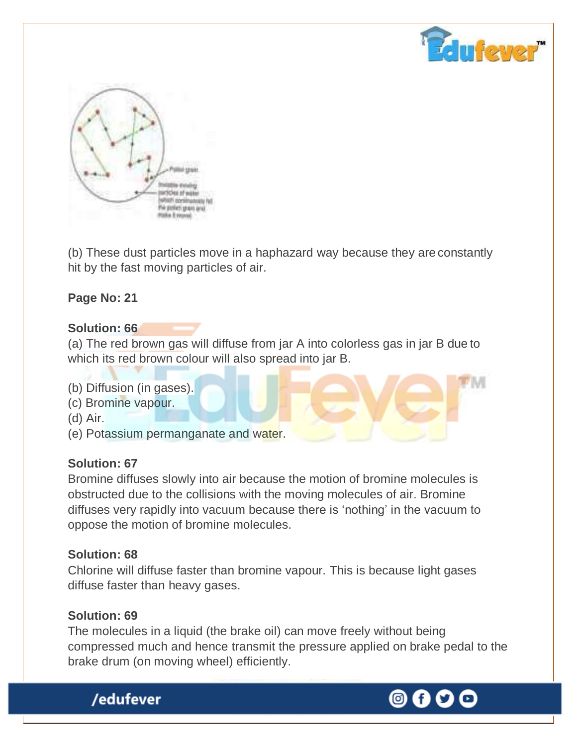



(b) These dust particles move in a haphazard way because they are constantly hit by the fast moving particles of air.

# **Page No: 21**

### **Solution: 66**

(a) The red brown gas will diffuse from jar A into colorless gas in jar B due to which its red brown colour will also spread into jar B.

- (b) Diffusion (in gases).
- (c) Bromine vapour.
- (d) Air.
- (e) Potassium permanganate and water.

### **Solution: 67**

Bromine diffuses slowly into air because the motion of bromine molecules is obstructed due to the collisions with the moving molecules of air. Bromine diffuses very rapidly into vacuum because there is 'nothing' in the vacuum to oppose the motion of bromine molecules.

### **Solution: 68**

Chlorine will diffuse faster than bromine vapour. This is because light gases diffuse faster than heavy gases.

### **Solution: 69**

The molecules in a liquid (the brake oil) can move freely without being compressed much and hence transmit the pressure applied on brake pedal to the brake drum (on moving wheel) efficiently.



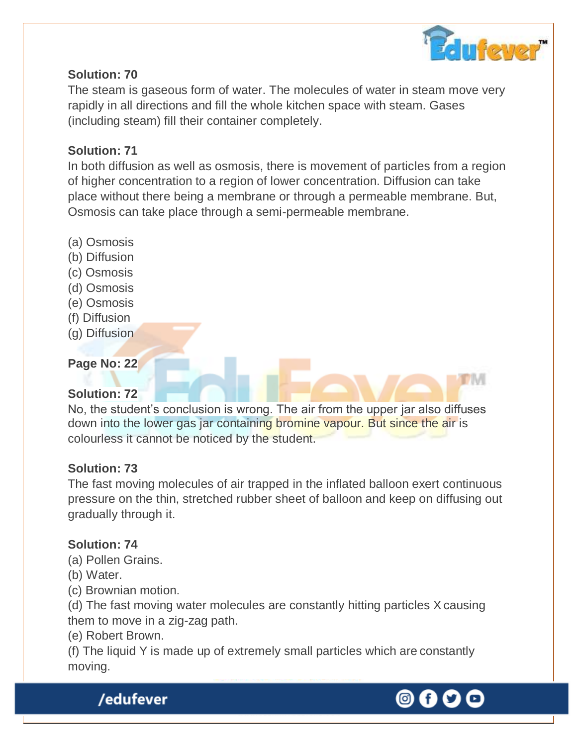

The steam is gaseous form of water. The molecules of water in steam move very rapidly in all directions and fill the whole kitchen space with steam. Gases (including steam) fill their container completely.

# **Solution: 71**

In both diffusion as well as osmosis, there is movement of particles from a region of higher concentration to a region of lower concentration. Diffusion can take place without there being a membrane or through a permeable membrane. But, Osmosis can take place through a semi-permeable membrane.

- (a) Osmosis
- (b) Diffusion
- (c) Osmosis
- (d) Osmosis
- (e) Osmosis
- (f) Diffusion
- (g) Diffusion

# **Page No: 22**

# **Solution: 72**

No, the student's conclusion is wrong. The air from the upper jar also diffuses down into the lower gas jar containing bromine vapour. But since the air is colourless it cannot be noticed by the student.

# **Solution: 73**

The fast moving molecules of air trapped in the inflated balloon exert continuous pressure on the thin, stretched rubber sheet of balloon and keep on diffusing out gradually through it.

# **Solution: 74**

- (a) Pollen Grains.
- (b) Water.
- (c) Brownian motion.

(d) The fast moving water molecules are constantly hitting particles X causing them to move in a zig-zag path.

# (e) Robert Brown.

(f) The liquid Y is made up of extremely small particles which are constantly moving.



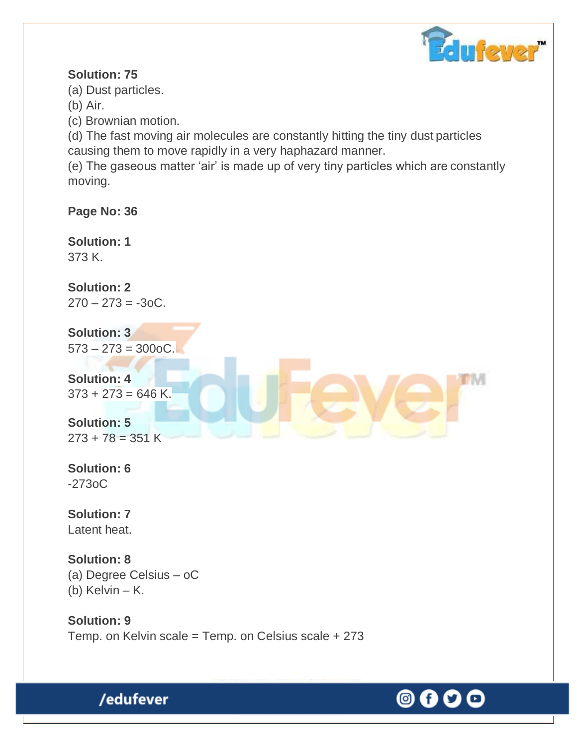

۱M

# **Solution: 75**

(a) Dust particles.

(b) Air.

(c) Brownian motion.

(d) The fast moving air molecules are constantly hitting the tiny dust particles causing them to move rapidly in a very haphazard manner.

(e) The gaseous matter 'air' is made up of very tiny particles which are constantly moving.

**Page No: 36**

**Solution: 1** 373 K.

**Solution: 2**  $270 - 273 = -30C$ .

 $573 - 273 = 300$ oC. **Solution: 3**

**Solution: 4**  $373 + 273 = 646$  K.

**Solution: 5**  $273 + 78 = 351$  K

**Solution: 6** -273oC

**Solution: 7** Latent heat.

**Solution: 8** (a) Degree Celsius – oC (b) Kelvin – K.

/edufever

**Solution: 9** Temp. on Kelvin scale = Temp. on Celsius scale + 273

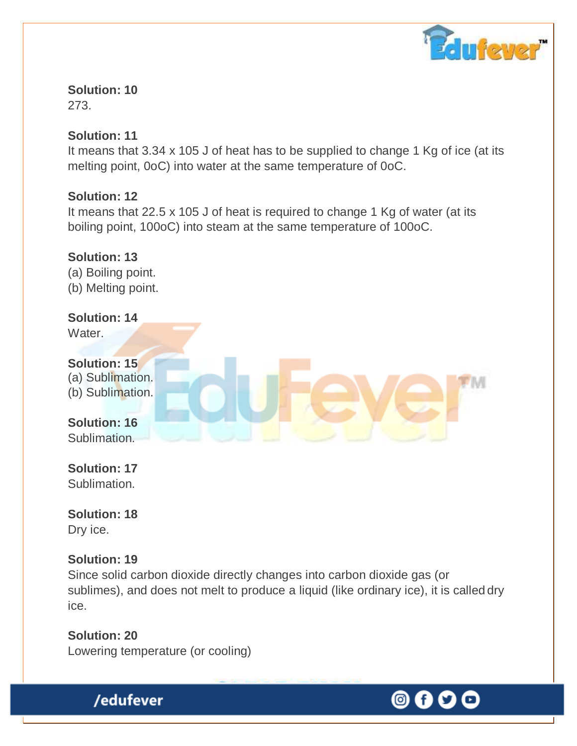

273.

# **Solution: 11**

It means that 3.34 x 105 J of heat has to be supplied to change 1 Kg of ice (at its melting point, 0oC) into water at the same temperature of 0oC.

# **Solution: 12**

It means that 22.5 x 105 J of heat is required to change 1 Kg of water (at its boiling point, 100oC) into steam at the same temperature of 100oC.

**Solution: 13** (a) Boiling point. (b) Melting point.

### **Solution: 14**

Water.



**Solution: 17** Sublimation.

**Solution: 18** Dry ice.

# **Solution: 19**

Since solid carbon dioxide directly changes into carbon dioxide gas (or sublimes), and does not melt to produce a liquid (like ordinary ice), it is called dry ice.

**Solution: 20** Lowering temperature (or cooling)

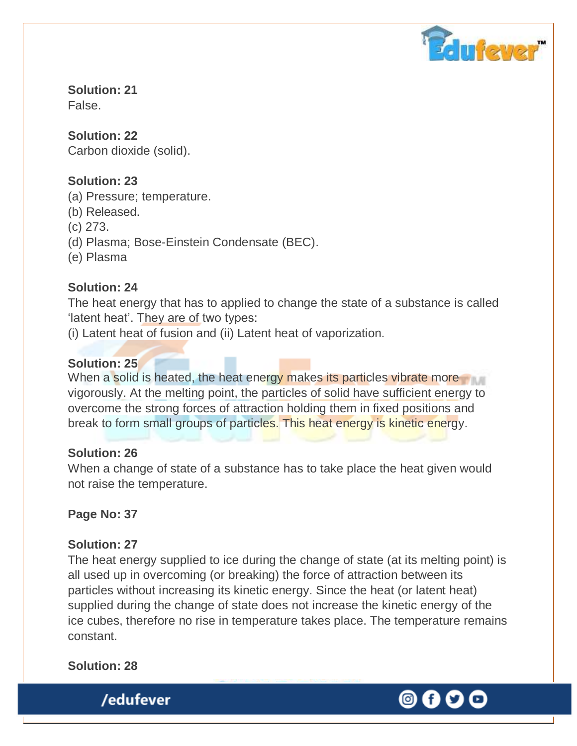

**Solution: 21** False.

**Solution: 22** Carbon dioxide (solid).

# **Solution: 23**

- (a) Pressure; temperature.
- (b) Released.
- (c) 273.
- (d) Plasma; Bose-Einstein Condensate (BEC).
- (e) Plasma

# **Solution: 24**

The heat energy that has to applied to change the state of a substance is called 'latent heat'. They are of two types:

(i) Latent heat of fusion and (ii) Latent heat of vaporization.

# **Solution: 25**

When a solid is heated, the heat energy makes its particles vibrate more vigorously. At the melting point, the particles of solid have sufficient energy to overcome the strong forces of attraction holding them in fixed positions and break to form small groups of particles. This heat energy is kinetic energy.

### **Solution: 26**

When a change of state of a substance has to take place the heat given would not raise the temperature.

**Page No: 37**

# **Solution: 27**

The heat energy supplied to ice during the change of state (at its melting point) is all used up in overcoming (or breaking) the force of attraction between its particles without increasing its kinetic energy. Since the heat (or latent heat) supplied during the change of state does not increase the kinetic energy of the ice cubes, therefore no rise in temperature takes place. The temperature remains constant.

**Solution: 28**

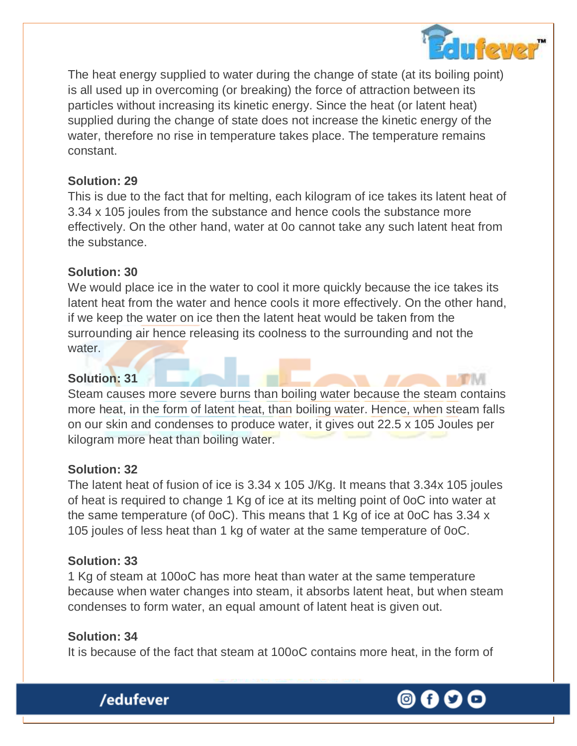

The heat energy supplied to water during the change of state (at its boiling point) is all used up in overcoming (or breaking) the force of attraction between its particles without increasing its kinetic energy. Since the heat (or latent heat) supplied during the change of state does not increase the kinetic energy of the water, therefore no rise in temperature takes place. The temperature remains constant.

### **Solution: 29**

This is due to the fact that for melting, each kilogram of ice takes its latent heat of 3.34 x 105 joules from the substance and hence cools the substance more effectively. On the other hand, water at 0o cannot take any such latent heat from the substance.

# **Solution: 30**

We would place ice in the water to cool it more quickly because the ice takes its latent heat from the water and hence cools it more effectively. On the other hand, if we keep the water on ice then the latent heat would be taken from the surrounding air hence releasing its coolness to the surrounding and not the water.

### **Solution: 31**

Steam causes more severe burns than boiling water because the steam contains more heat, in the form of latent heat, than boiling water. Hence, when steam falls on our skin and condenses to produce water, it gives out 22.5 x 105 Joules per kilogram more heat than boiling water.

### **Solution: 32**

The latent heat of fusion of ice is 3.34 x 105 J/Kg. It means that 3.34x 105 joules of heat is required to change 1 Kg of ice at its melting point of 0oC into water at the same temperature (of 0oC). This means that 1 Kg of ice at 0oC has 3.34 x 105 joules of less heat than 1 kg of water at the same temperature of 0oC.

### **Solution: 33**

1 Kg of steam at 100oC has more heat than water at the same temperature because when water changes into steam, it absorbs latent heat, but when steam condenses to form water, an equal amount of latent heat is given out.

# **Solution: 34**

It is because of the fact that steam at 100oC contains more heat, in the form of



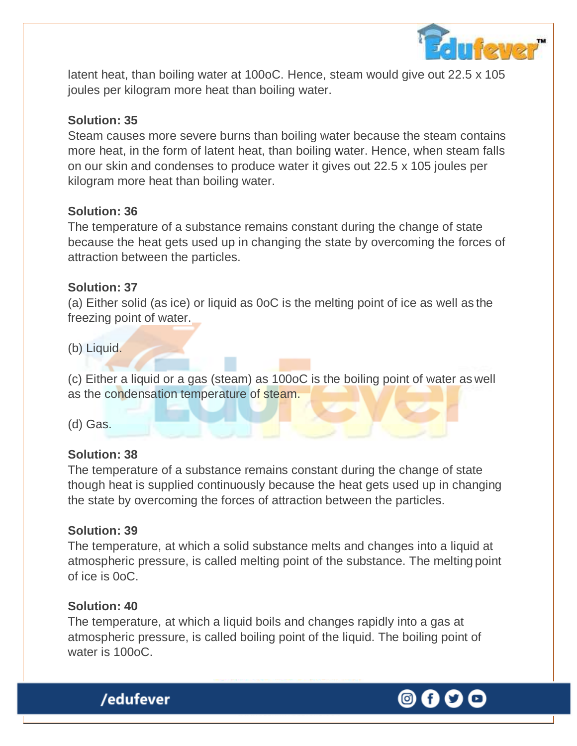

latent heat, than boiling water at 100oC. Hence, steam would give out 22.5 x 105 joules per kilogram more heat than boiling water.

### **Solution: 35**

Steam causes more severe burns than boiling water because the steam contains more heat, in the form of latent heat, than boiling water. Hence, when steam falls on our skin and condenses to produce water it gives out 22.5 x 105 joules per kilogram more heat than boiling water.

### **Solution: 36**

The temperature of a substance remains constant during the change of state because the heat gets used up in changing the state by overcoming the forces of attraction between the particles.

### **Solution: 37**

(a) Either solid (as ice) or liquid as 0oC is the melting point of ice as well as the freezing point of water.

(b) Liquid.

(c) Either a liquid or a gas (steam) as 100oC is the boiling point of water as well as the condensation temperature of steam.

(d) Gas.

### **Solution: 38**

The temperature of a substance remains constant during the change of state though heat is supplied continuously because the heat gets used up in changing the state by overcoming the forces of attraction between the particles.

### **Solution: 39**

The temperature, at which a solid substance melts and changes into a liquid at atmospheric pressure, is called melting point of the substance. The melting point of ice is 0oC.

# **Solution: 40**

/edufever

The temperature, at which a liquid boils and changes rapidly into a gas at atmospheric pressure, is called boiling point of the liquid. The boiling point of water is 100oC.

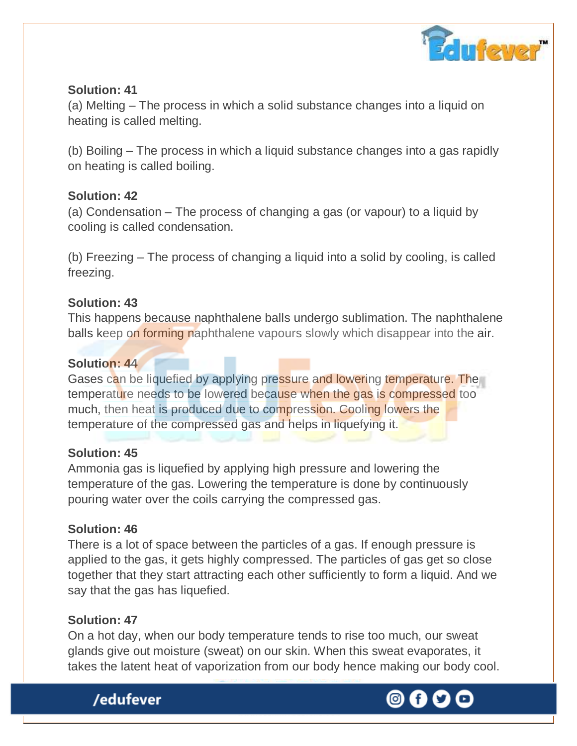

(a) Melting – The process in which a solid substance changes into a liquid on heating is called melting.

(b) Boiling – The process in which a liquid substance changes into a gas rapidly on heating is called boiling.

### **Solution: 42**

(a) Condensation – The process of changing a gas (or vapour) to a liquid by cooling is called condensation.

(b) Freezing – The process of changing a liquid into a solid by cooling, is called freezing.

### **Solution: 43**

This happens because naphthalene balls undergo sublimation. The naphthalene balls keep on forming naphthalene vapours slowly which disappear into the air.

### **Solution: 44**

Gases can be liquefied by applying pressure and lowering temperature. The temperature needs to be lowered because when the gas is compressed too much, then heat is produced due to compression. Cooling lowers the temperature of the compressed gas and helps in liquefying it.

### **Solution: 45**

Ammonia gas is liquefied by applying high pressure and lowering the temperature of the gas. Lowering the temperature is done by continuously pouring water over the coils carrying the compressed gas.

# **Solution: 46**

There is a lot of space between the particles of a gas. If enough pressure is applied to the gas, it gets highly compressed. The particles of gas get so close together that they start attracting each other sufficiently to form a liquid. And we say that the gas has liquefied.

# **Solution: 47**

On a hot day, when our body temperature tends to rise too much, our sweat glands give out moisture (sweat) on our skin. When this sweat evaporates, it takes the latent heat of vaporization from our body hence making our body cool.



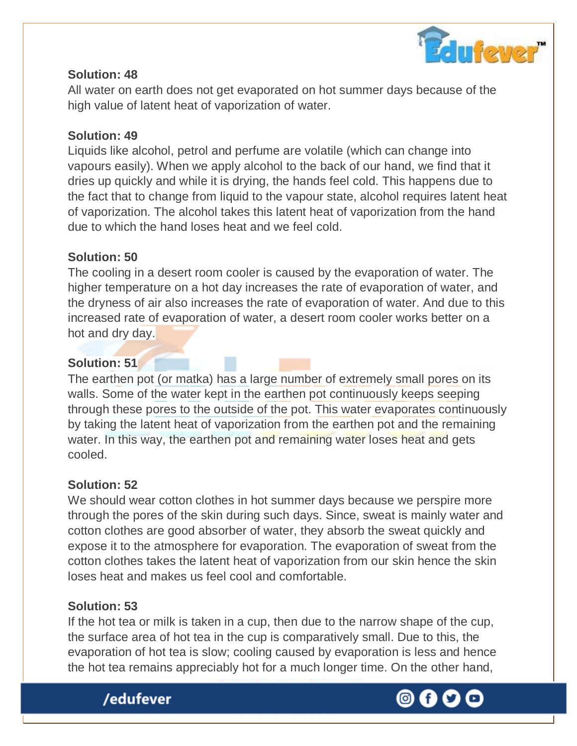

All water on earth does not get evaporated on hot summer days because of the high value of latent heat of vaporization of water.

### **Solution: 49**

Liquids like alcohol, petrol and perfume are volatile (which can change into vapours easily). When we apply alcohol to the back of our hand, we find that it dries up quickly and while it is drying, the hands feel cold. This happens due to the fact that to change from liquid to the vapour state, alcohol requires latent heat of vaporization. The alcohol takes this latent heat of vaporization from the hand due to which the hand loses heat and we feel cold.

### **Solution: 50**

The cooling in a desert room cooler is caused by the evaporation of water. The higher temperature on a hot day increases the rate of evaporation of water, and the dryness of air also increases the rate of evaporation of water. And due to this increased rate of evaporation of water, a desert room cooler works better on a hot and dry day.

### **Solution: 51**

The earthen pot (or matka) has a large number of extremely small pores on its walls. Some of the water kept in the earthen pot continuously keeps seeping through these pores to the outside of the pot. This water evaporates continuously by taking the latent heat of vaporization from the earthen pot and the remaining water. In this way, the earthen pot and remaining water loses heat and gets cooled.

### **Solution: 52**

We should wear cotton clothes in hot summer days because we perspire more through the pores of the skin during such days. Since, sweat is mainly water and cotton clothes are good absorber of water, they absorb the sweat quickly and expose it to the atmosphere for evaporation. The evaporation of sweat from the cotton clothes takes the latent heat of vaporization from our skin hence the skin loses heat and makes us feel cool and comfortable.

### **Solution: 53**

If the hot tea or milk is taken in a cup, then due to the narrow shape of the cup, the surface area of hot tea in the cup is comparatively small. Due to this, the evaporation of hot tea is slow; cooling caused by evaporation is less and hence the hot tea remains appreciably hot for a much longer time. On the other hand,



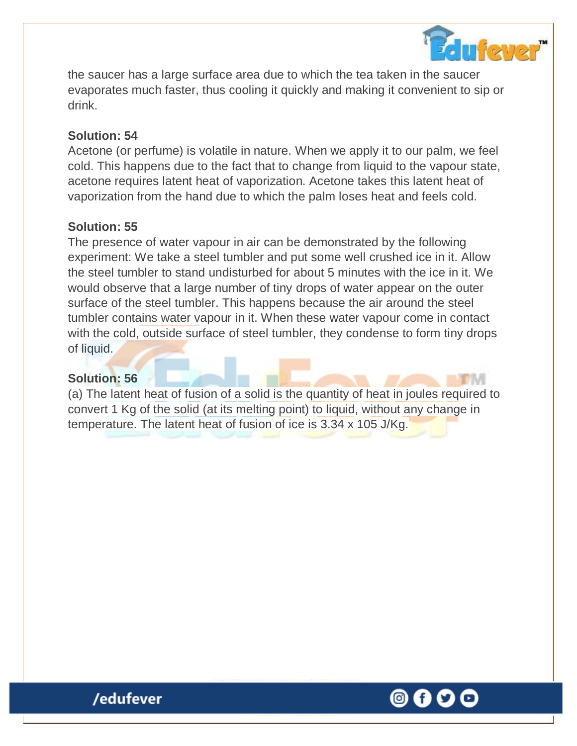

the saucer has a large surface area due to which the tea taken in the saucer evaporates much faster, thus cooling it quickly and making it convenient to sip or drink.

### **Solution: 54**

Acetone (or perfume) is volatile in nature. When we apply it to our palm, we feel cold. This happens due to the fact that to change from liquid to the vapour state, acetone requires latent heat of vaporization. Acetone takes this latent heat of vaporization from the hand due to which the palm loses heat and feels cold.

### **Solution: 55**

The presence of water vapour in air can be demonstrated by the following experiment: We take a steel tumbler and put some well crushed ice in it. Allow the steel tumbler to stand undisturbed for about 5 minutes with the ice in it. We would observe that a large number of tiny drops of water appear on the outer surface of the steel tumbler. This happens because the air around the steel tumbler contains water vapour in it. When these water vapour come in contact with the cold, outside surface of steel tumbler, they condense to form tiny drops of liquid.

### **Solution: 56**

(a) The latent heat of fusion of a solid is the quantity of heat in joules required to convert 1 Kg of the solid (at its melting point) to liquid, without any change in temperature. The latent heat of fusion of ice is 3.34 x 105 J/Kg.

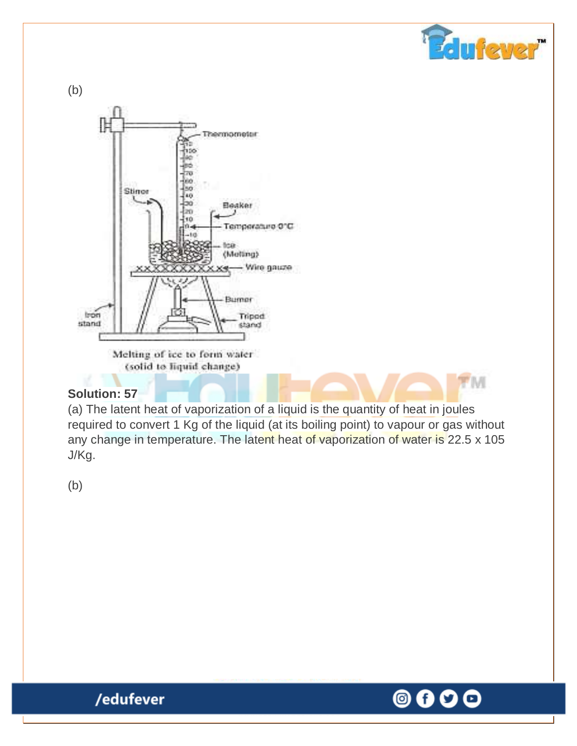(b) **Thermometer** hpo e w tro  $100$ 45o Stinon  $^{10}$ Ьо **Eleaker**  $400$  $110$  $0 - 4$ Тетрегазию О'С  $-10$ tea (Melting) - Wire gauze X4 Burner Trippd Iron stand stand

> Melting of ice to form water (solid to liquid change)

# **Solution: 57**

(a) The latent heat of vaporization of a liquid is the quantity of heat in joules required to convert 1 Kg of the liquid (at its boiling point) to vapour or gas without any change in temperature. The latent heat of vaporization of water is 22.5 x 105 J/Kg.

(b)



**Feluflever** 

**PTIVI** 

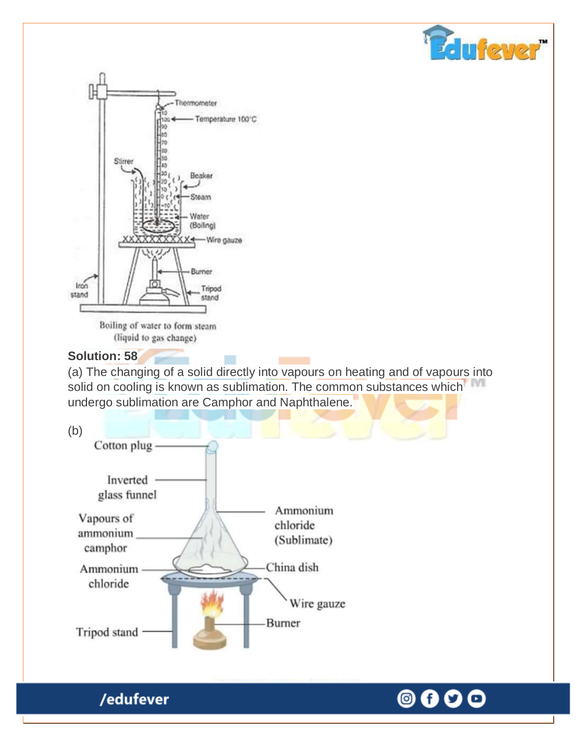



(liquid to gas change)

### **Solution: 58**

(a) The changing of a solid directly into vapours on heating and of vapours into solid on cooling is known as sublimation. The common substances which undergo sublimation are Camphor and Naphthalene.



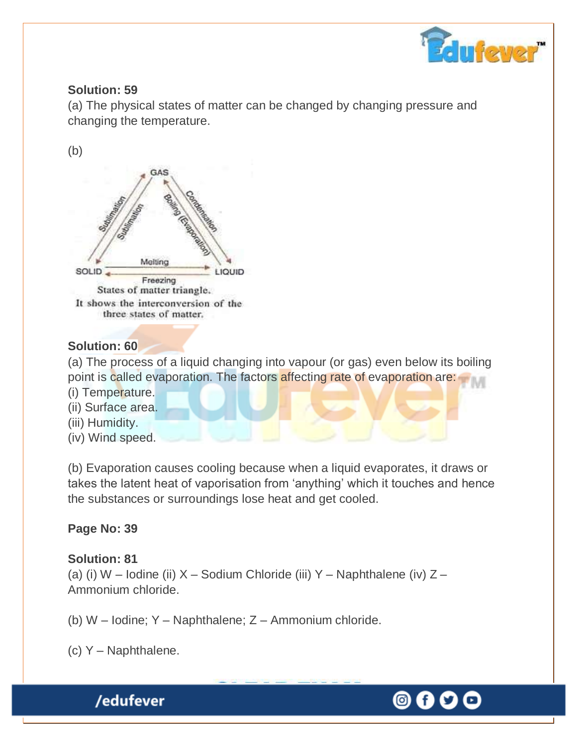

(a) The physical states of matter can be changed by changing pressure and changing the temperature.

(b)



# **Solution: 60**

(a) The process of a liquid changing into vapour (or gas) even below its boiling point is called evaporation. The factors affecting rate of evaporation are:

- (i) Temperature.
- (ii) Surface area.
- (iii) Humidity.
- (iv) Wind speed.

(b) Evaporation causes cooling because when a liquid evaporates, it draws or takes the latent heat of vaporisation from 'anything' which it touches and hence the substances or surroundings lose heat and get cooled.

# **Page No: 39**

# **Solution: 81**

(a) (i) W – Iodine (ii) X – Sodium Chloride (iii) Y – Naphthalene (iv) Z – Ammonium chloride.

- (b) W Iodine; Y Naphthalene; Z Ammonium chloride.
- (c) Y Naphthalene.